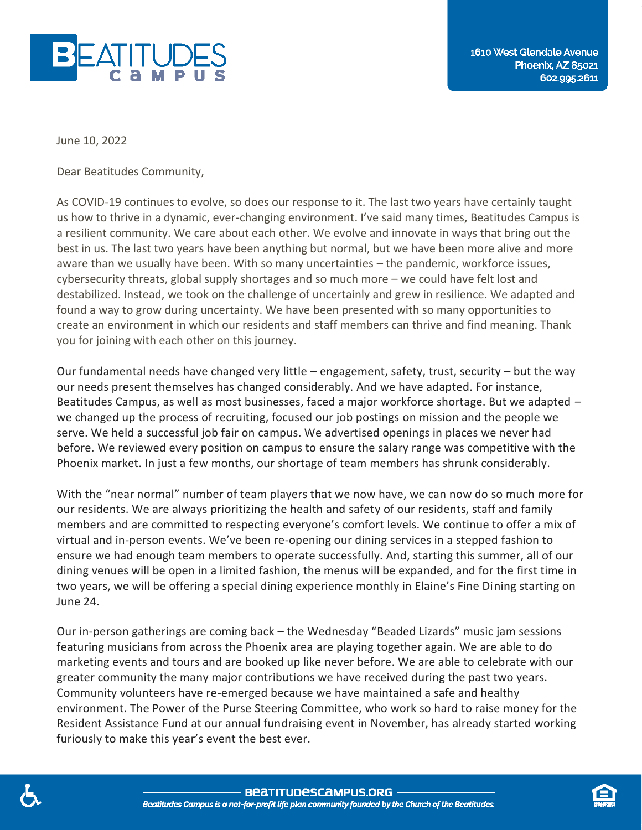## BEATITUDE

June 10, 2022

Dear Beatitudes Community,

As COVID-19 continues to evolve, so does our response to it. The last two years have certainly taught us how to thrive in a dynamic, ever-changing environment. I've said many times, Beatitudes Campus is a resilient community. We care about each other. We evolve and innovate in ways that bring out the best in us. The last two years have been anything but normal, but we have been more alive and more aware than we usually have been. With so many uncertainties – the pandemic, workforce issues, cybersecurity threats, global supply shortages and so much more – we could have felt lost and destabilized. Instead, we took on the challenge of uncertainly and grew in resilience. We adapted and found a way to grow during uncertainty. We have been presented with so many opportunities to create an environment in which our residents and staff members can thrive and find meaning. Thank you for joining with each other on this journey.

Our fundamental needs have changed very little – engagement, safety, trust, security – but the way our needs present themselves has changed considerably. And we have adapted. For instance, Beatitudes Campus, as well as most businesses, faced a major workforce shortage. But we adapted – we changed up the process of recruiting, focused our job postings on mission and the people we serve. We held a successful job fair on campus. We advertised openings in places we never had before. We reviewed every position on campus to ensure the salary range was competitive with the Phoenix market. In just a few months, our shortage of team members has shrunk considerably.

With the "near normal" number of team players that we now have, we can now do so much more for our residents. We are always prioritizing the health and safety of our residents, staff and family members and are committed to respecting everyone's comfort levels. We continue to offer a mix of virtual and in-person events. We've been re-opening our dining services in a stepped fashion to ensure we had enough team members to operate successfully. And, starting this summer, all of our dining venues will be open in a limited fashion, the menus will be expanded, and for the first time in two years, we will be offering a special dining experience monthly in Elaine's Fine Dining starting on June 24.

Our in-person gatherings are coming back – the Wednesday "Beaded Lizards" music jam sessions featuring musicians from across the Phoenix area are playing together again. We are able to do marketing events and tours and are booked up like never before. We are able to celebrate with our greater community the many major contributions we have received during the past two years. Community volunteers have re-emerged because we have maintained a safe and healthy environment. The Power of the Purse Steering Committee, who work so hard to raise money for the Resident Assistance Fund at our annual fundraising event in November, has already started working furiously to make this year's event the best ever.